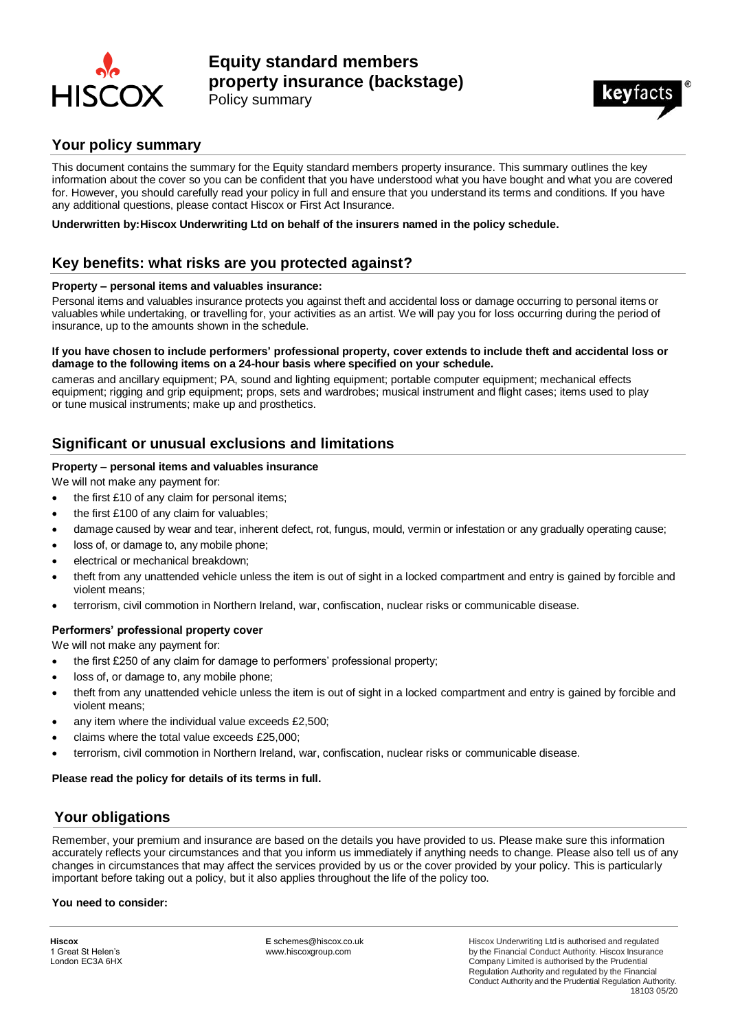

# **Equity standard members property insurance (backstage)**





### **Your policy summary**

This document contains the summary for the Equity standard members property insurance. This summary outlines the key information about the cover so you can be confident that you have understood what you have bought and what you are covered for. However, you should carefully read your policy in full and ensure that you understand its terms and conditions. If you have any additional questions, please contact Hiscox or First Act Insurance.

**Underwritten by:Hiscox Underwriting Ltd on behalf of the insurers named in the policy schedule.**

### **Key benefits: what risks are you protected against?**

#### **Property – personal items and valuables insurance:**

Personal items and valuables insurance protects you against theft and accidental loss or damage occurring to personal items or valuables while undertaking, or travelling for, your activities as an artist. We will pay you for loss occurring during the period of insurance, up to the amounts shown in the schedule.

#### **If you have chosen to include performers' professional property, cover extends to include theft and accidental loss or damage to the following items on a 24-hour basis where specified on your schedule.**

cameras and ancillary equipment; PA, sound and lighting equipment; portable computer equipment; mechanical effects equipment; rigging and grip equipment; props, sets and wardrobes; musical instrument and flight cases; items used to play or tune musical instruments; make up and prosthetics.

### **Significant or unusual exclusions and limitations**

#### **Property – personal items and valuables insurance**

We will not make any payment for:

- the first £10 of any claim for personal items;
- the first £100 of any claim for valuables;
- damage caused by wear and tear, inherent defect, rot, fungus, mould, vermin or infestation or any gradually operating cause;
- loss of, or damage to, any mobile phone;
- electrical or mechanical breakdown;
- theft from any unattended vehicle unless the item is out of sight in a locked compartment and entry is gained by forcible and violent means;
- terrorism, civil commotion in Northern Ireland, war, confiscation, nuclear risks or communicable disease.

#### **Performers' professional property cover**

We will not make any payment for:

- the first £250 of any claim for damage to performers' professional property;
- loss of, or damage to, any mobile phone;
- theft from any unattended vehicle unless the item is out of sight in a locked compartment and entry is gained by forcible and violent means;
- any item where the individual value exceeds £2,500;
- claims where the total value exceeds £25,000;
- terrorism, civil commotion in Northern Ireland, war, confiscation, nuclear risks or communicable disease.

#### **Please read the policy for details of its terms in full.**

### **Your obligations**

Remember, your premium and insurance are based on the details you have provided to us. Please make sure this information accurately reflects your circumstances and that you inform us immediately if anything needs to change. Please also tell us of any changes in circumstances that may affect the services provided by us or the cover provided by your policy. This is particularly important before taking out a policy, but it also applies throughout the life of the policy too.

#### **You need to consider:**

**Hiscox** 1 Great St Helen's London EC3A 6HX **E** schemes@hiscox.co.uk www.hiscoxgroup.com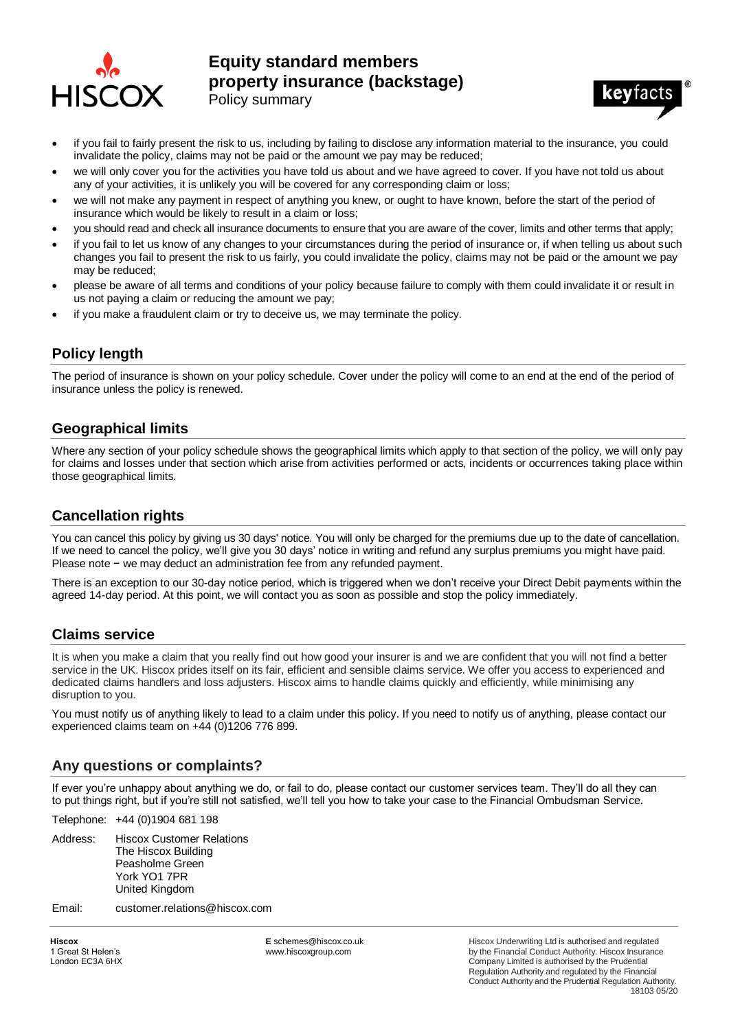

# **Equity standard members property insurance (backstage)** Policy summary



- if you fail to fairly present the risk to us, including by failing to disclose any information material to the insurance, you could invalidate the policy, claims may not be paid or the amount we pay may be reduced;
- we will only cover you for the activities you have told us about and we have agreed to cover. If you have not told us about any of your activities, it is unlikely you will be covered for any corresponding claim or loss;
- we will not make any payment in respect of anything you knew, or ought to have known, before the start of the period of insurance which would be likely to result in a claim or loss;
- you should read and check all insurance documents to ensure that you are aware of the cover, limits and other terms that apply;
- if you fail to let us know of any changes to your circumstances during the period of insurance or, if when telling us about such changes you fail to present the risk to us fairly, you could invalidate the policy, claims may not be paid or the amount we pay may be reduced;
- please be aware of all terms and conditions of your policy because failure to comply with them could invalidate it or result in us not paying a claim or reducing the amount we pay;
- if you make a fraudulent claim or try to deceive us, we may terminate the policy.

### **Policy length**

The period of insurance is shown on your policy schedule. Cover under the policy will come to an end at the end of the period of insurance unless the policy is renewed.

#### **Geographical limits**

Where any section of your policy schedule shows the geographical limits which apply to that section of the policy, we will only pay for claims and losses under that section which arise from activities performed or acts, incidents or occurrences taking place within those geographical limits.

### **Cancellation rights**

You can cancel this policy by giving us 30 days' notice. You will only be charged for the premiums due up to the date of cancellation. If we need to cancel the policy, we'll give you 30 days' notice in writing and refund any surplus premiums you might have paid. Please note − we may deduct an administration fee from any refunded payment.

There is an exception to our 30-day notice period, which is triggered when we don't receive your Direct Debit payments within the agreed 14-day period. At this point, we will contact you as soon as possible and stop the policy immediately.

# **Claims service**

It is when you make a claim that you really find out how good your insurer is and we are confident that you will not find a better service in the UK. Hiscox prides itself on its fair, efficient and sensible claims service. We offer you access to experienced and dedicated claims handlers and loss adjusters. Hiscox aims to handle claims quickly and efficiently, while minimising any disruption to you.

You must notify us of anything likely to lead to a claim under this policy. If you need to notify us of anything, please contact our experienced claims team on +44 (0)1206 776 899.

#### **Any questions or complaints?**

If ever you're unhappy about anything we do, or fail to do, please contact our customer services team. They'll do all they can to put things right, but if you're still not satisfied, we'll tell you how to take your case to the Financial Ombudsman Service.

Telephone: +44 (0)1904 681 198

- Address: Hiscox Customer Relations The Hiscox Building Peasholme Green York YO1 7PR United Kingdom
- Email: customer.relations@hiscox.com

**Hiscox** 1 Great St Helen's London EC3A 6HX **E** schemes@hiscox.co.uk www.hiscoxgroup.com